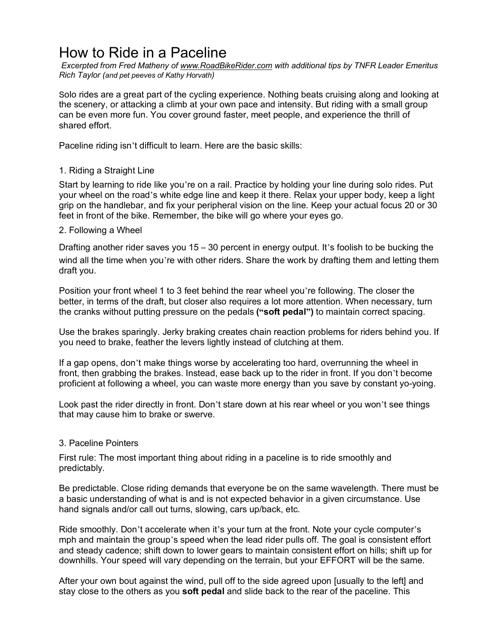## How to Ride in a Paceline

*Excerpted from Fred Matheny of www.RoadBikeRider.com with additional tips by TNFR Leader Emeritus Rich Taylor (and pet peeves of Kathy Horvath)*

Solo rides are a great part of the cycling experience. Nothing beats cruising along and looking at the scenery, or attacking a climb at your own pace and intensity. But riding with a small group can be even more fun. You cover ground faster, meet people, and experience the thrill of shared effort.

Paceline riding isn't difficult to learn. Here are the basic skills:

## 1. Riding a Straight Line

Start by learning to ride like you're on a rail. Practice by holding your line during solo rides. Put your wheel on the road's white edge line and keep it there. Relax your upper body, keep a light grip on the handlebar, and fix your peripheral vision on the line. Keep your actual focus 20 or 30 feet in front of the bike. Remember, the bike will go where your eyes go.

## 2. Following a Wheel

Drafting another rider saves you  $15 - 30$  percent in energy output. It's foolish to be bucking the wind all the time when you're with other riders. Share the work by drafting them and letting them draft you.

Position your front wheel 1 to 3 feet behind the rear wheel you're following. The closer the better, in terms of the draft, but closer also requires a lot more attention. When necessary, turn the cranks without putting pressure on the pedals **("soft pedal")** to maintain correct spacing.

Use the brakes sparingly. Jerky braking creates chain reaction problems for riders behind you. If you need to brake, feather the levers lightly instead of clutching at them.

If a gap opens, don't make things worse by accelerating too hard, overrunning the wheel in front, then grabbing the brakes. Instead, ease back up to the rider in front. If you don't become proficient at following a wheel, you can waste more energy than you save by constant yo-yoing.

Look past the rider directly in front. Don't stare down at his rear wheel or you won't see things that may cause him to brake or swerve.

## 3. Paceline Pointers

First rule: The most important thing about riding in a paceline is to ride smoothly and predictably.

Be predictable. Close riding demands that everyone be on the same wavelength. There must be a basic understanding of what is and is not expected behavior in a given circumstance. Use hand signals and/or call out turns, slowing, cars up/back, etc.

Ride smoothly. Don't accelerate when it's your turn at the front. Note your cycle computer's mph and maintain the group's speed when the lead rider pulls off. The goal is consistent effort and steady cadence; shift down to lower gears to maintain consistent effort on hills; shift up for downhills. Your speed will vary depending on the terrain, but your EFFORT will be the same.

After your own bout against the wind, pull off to the side agreed upon [usually to the left] and stay close to the others as you **soft pedal** and slide back to the rear of the paceline. This